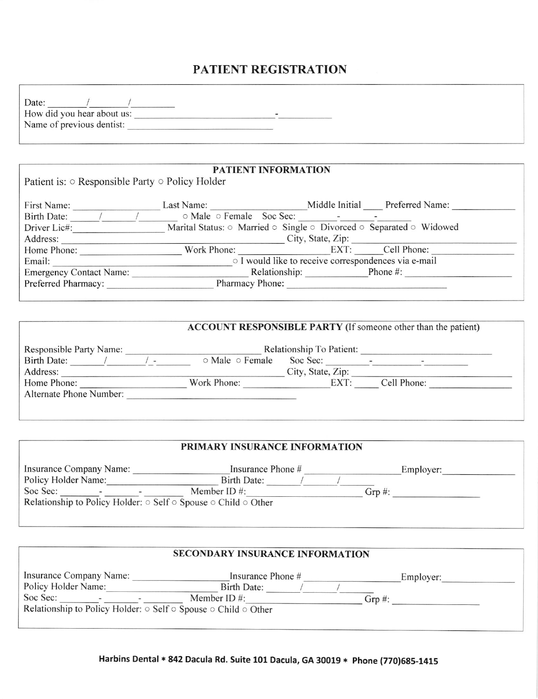## PATIENT REGISTRATION

| Date:                      |  |
|----------------------------|--|
| How did you hear about us: |  |
| Name of previous dentist:  |  |

|                                                             | PATIENT INFORMATION                                                                               |                        |                                                      |
|-------------------------------------------------------------|---------------------------------------------------------------------------------------------------|------------------------|------------------------------------------------------|
| Patient is: $\circ$ Responsible Party $\circ$ Policy Holder |                                                                                                   |                        |                                                      |
|                                                             |                                                                                                   |                        |                                                      |
| First Name:                                                 | Last Name:                                                                                        |                        | Middle Initial Preferred Name:                       |
|                                                             | Birth Date: / / o Male o Female Soc Sec: - - -                                                    |                        |                                                      |
| Driver Lic#:                                                | Marital Status: $\circ$ Married $\circ$ Single $\circ$ Divorced $\circ$ Separated $\circ$ Widowed |                        |                                                      |
| Address:                                                    |                                                                                                   |                        | City, State, Zip:                                    |
| Home Phone:                                                 | Work Phone:                                                                                       |                        | EXT: Cell Phone:                                     |
| Email:                                                      |                                                                                                   |                        | o I would like to receive correspondences via e-mail |
| <b>Emergency Contact Name:</b>                              |                                                                                                   | Relationship: Phone #: |                                                      |
| Preferred Pharmacy:                                         | Pharmacy Phone:                                                                                   |                        |                                                      |
|                                                             |                                                                                                   |                        |                                                      |

|                                |               |                 |                          | <b>ACCOUNT RESPONSIBLE PARTY</b> (If someone other than the patient) |  |
|--------------------------------|---------------|-----------------|--------------------------|----------------------------------------------------------------------|--|
| <b>Responsible Party Name:</b> |               |                 | Relationship To Patient: |                                                                      |  |
| Birth Date:                    | $\frac{1}{2}$ | ○ Male ○ Female | Soc Sec:                 |                                                                      |  |
| Address:                       |               |                 | City, State, Zip:        |                                                                      |  |
| Home Phone:                    |               | Work Phone:     | EXT:                     | Cell Phone:                                                          |  |
| Alternate Phone Number:        |               |                 |                          |                                                                      |  |
|                                |               |                 |                          |                                                                      |  |

| Insurance Company Name: | Insurance Phone # | Employer: |
|-------------------------|-------------------|-----------|
| Policy Holder Name:     | Birth Date:       |           |
| Soc Sec:                | Member ID $#$ :   | Grp $#$ : |

| <b>SECONDARY INSURANCE INFORMATION</b>                                                 |                   |           |  |  |  |  |
|----------------------------------------------------------------------------------------|-------------------|-----------|--|--|--|--|
| Insurance Company Name:                                                                | Insurance Phone # | Employer: |  |  |  |  |
| Policy Holder Name:                                                                    | Birth Date:       |           |  |  |  |  |
| Soc Sec:                                                                               | Member ID $\#$ :  | Grp $#$ : |  |  |  |  |
| Relationship to Policy Holder: $\circ$ Self $\circ$ Spouse $\circ$ Child $\circ$ Other |                   |           |  |  |  |  |
|                                                                                        |                   |           |  |  |  |  |
|                                                                                        |                   |           |  |  |  |  |